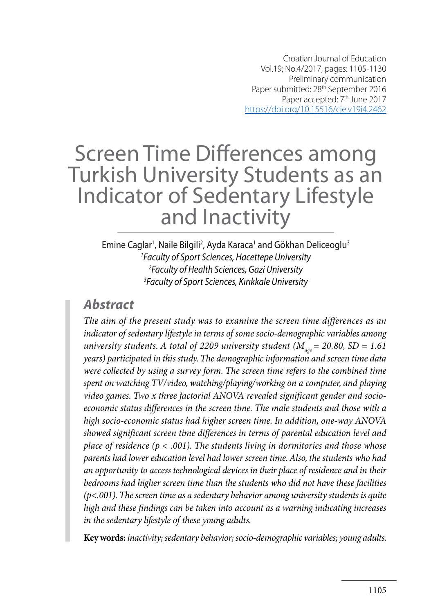# Screen Time Differences among Turkish University Students as an Indicator of Sedentary Lifestyle and Inactivity

Emine Caglar<sup>1</sup>, Naile Bilgili<sup>2</sup>, Ayda Karaca<sup>1</sup> and Gökhan Deliceoglu<sup>3</sup> *Faculty of Sport Sciences, Hacettepe University Faculty of Health Sciences, Gazi University Faculty of Sport Sciences, Kırıkkale University*

### *Abstract*

*The aim of the present study was to examine the screen time differences as an indicator of sedentary lifestyle in terms of some socio-demographic variables among university students. A total of 2209 university student (* $M_{\text{age}} = 20.80$ *, SD = 1.61 years) participated in this study. The demographic information and screen time data were collected by using a survey form. The screen time refers to the combined time spent on watching TV/video, watching/playing/working on a computer, and playing video games. Two x three factorial ANOVA revealed significant gender and socioeconomic status differences in the screen time. The male students and those with a high socio-economic status had higher screen time. In addition, one-way ANOVA showed significant screen time differences in terms of parental education level and place of residence (p < .001). The students living in dormitories and those whose parents had lower education level had lower screen time. Also, the students who had an opportunity to access technological devices in their place of residence and in their bedrooms had higher screen time than the students who did not have these facilities (p<.001). The screen time as a sedentary behavior among university students is quite high and these findings can be taken into account as a warning indicating increases in the sedentary lifestyle of these young adults.* 

**Key words:** *inactivity; sedentary behavior; socio-demographic variables; young adults.*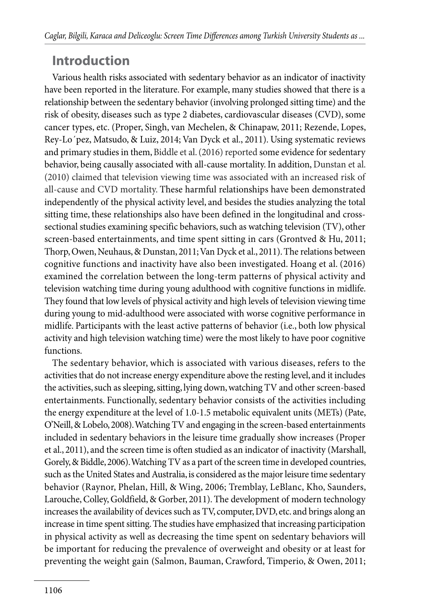## **Introduction**

Various health risks associated with sedentary behavior as an indicator of inactivity have been reported in the literature. For example, many studies showed that there is a relationship between the sedentary behavior (involving prolonged sitting time) and the risk of obesity, diseases such as type 2 diabetes, cardiovascular diseases (CVD), some cancer types, etc. (Proper, Singh, van Mechelen, & Chinapaw, 2011; Rezende, Lopes, Rey-Lo´pez, Matsudo, & Luiz, 2014; Van Dyck et al., 2011). Using systematic reviews and primary studies in them, Biddle et al. (2016) reported some evidence for sedentary behavior, being causally associated with all-cause mortality. In addition, Dunstan et al. (2010) claimed that television viewing time was associated with an increased risk of all-cause and CVD mortality. These harmful relationships have been demonstrated independently of the physical activity level, and besides the studies analyzing the total sitting time, these relationships also have been defined in the longitudinal and crosssectional studies examining specific behaviors, such as watching television (TV), other screen-based entertainments, and time spent sitting in cars (Grontved & Hu, 2011; Thorp, Owen, Neuhaus, & Dunstan, 2011; Van Dyck et al., 2011). The relations between cognitive functions and inactivity have also been investigated. Hoang et al. (2016) examined the correlation between the long-term patterns of physical activity and television watching time during young adulthood with cognitive functions in midlife. They found that low levels of physical activity and high levels of television viewing time during young to mid-adulthood were associated with worse cognitive performance in midlife. Participants with the least active patterns of behavior (i.e., both low physical activity and high television watching time) were the most likely to have poor cognitive functions.

The sedentary behavior, which is associated with various diseases, refers to the activities that do not increase energy expenditure above the resting level, and it includes the activities, such as sleeping, sitting, lying down, watching TV and other screen-based entertainments. Functionally, sedentary behavior consists of the activities including the energy expenditure at the level of 1.0-1.5 metabolic equivalent units (METs) (Pate, O'Neill, & Lobelo, 2008). Watching TV and engaging in the screen-based entertainments included in sedentary behaviors in the leisure time gradually show increases (Proper et al., 2011), and the screen time is often studied as an indicator of inactivity (Marshall, Gorely, & Biddle, 2006). Watching TV as a part of the screen time in developed countries, such as the United States and Australia, is considered as the major leisure time sedentary behavior (Raynor, Phelan, Hill, & Wing, 2006; Tremblay, LeBlanc, Kho, Saunders, Larouche, Colley, Goldfield, & Gorber, 2011). The development of modern technology increases the availability of devices such as TV, computer, DVD, etc. and brings along an increase in time spent sitting. The studies have emphasized that increasing participation in physical activity as well as decreasing the time spent on sedentary behaviors will be important for reducing the prevalence of overweight and obesity or at least for preventing the weight gain (Salmon, Bauman, Crawford, Timperio, & Owen, 2011;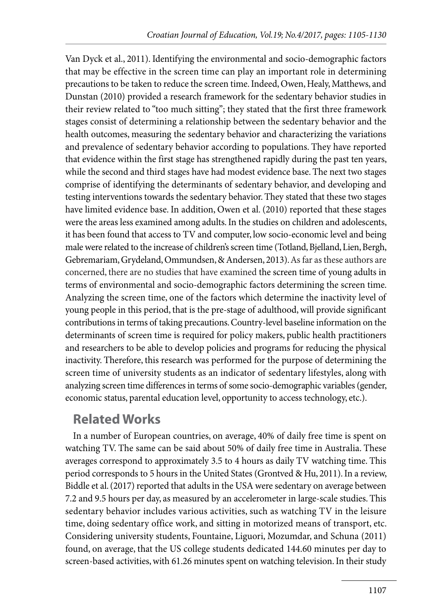Van Dyck et al., 2011). Identifying the environmental and socio-demographic factors that may be effective in the screen time can play an important role in determining precautions to be taken to reduce the screen time. Indeed, Owen, Healy, Matthews, and Dunstan (2010) provided a research framework for the sedentary behavior studies in their review related to "too much sitting"; they stated that the first three framework stages consist of determining a relationship between the sedentary behavior and the health outcomes, measuring the sedentary behavior and characterizing the variations and prevalence of sedentary behavior according to populations. They have reported that evidence within the first stage has strengthened rapidly during the past ten years, while the second and third stages have had modest evidence base. The next two stages comprise of identifying the determinants of sedentary behavior, and developing and testing interventions towards the sedentary behavior. They stated that these two stages have limited evidence base. In addition, Owen et al. (2010) reported that these stages were the areas less examined among adults. In the studies on children and adolescents, it has been found that access to TV and computer, low socio-economic level and being male were related to the increase of children's screen time (Totland, Bjelland, Lien, Bergh, Gebremariam, Grydeland, Ommundsen, & Andersen, 2013). As far as these authors are concerned, there are no studies that have examined the screen time of young adults in terms of environmental and socio-demographic factors determining the screen time. Analyzing the screen time, one of the factors which determine the inactivity level of young people in this period, that is the pre-stage of adulthood, will provide significant contributions in terms of taking precautions. Country-level baseline information on the determinants of screen time is required for policy makers, public health practitioners and researchers to be able to develop policies and programs for reducing the physical inactivity. Therefore, this research was performed for the purpose of determining the screen time of university students as an indicator of sedentary lifestyles, along with analyzing screen time differences in terms of some socio-demographic variables (gender, economic status, parental education level, opportunity to access technology, etc.).

## **Related Works**

In a number of European countries, on average, 40% of daily free time is spent on watching TV. The same can be said about 50% of daily free time in Australia. These averages correspond to approximately 3.5 to 4 hours as daily TV watching time. This period corresponds to 5 hours in the United States (Grontved & Hu, 2011). In a review, Biddle et al. (2017) reported that adults in the USA were sedentary on average between 7.2 and 9.5 hours per day, as measured by an accelerometer in large-scale studies. This sedentary behavior includes various activities, such as watching TV in the leisure time, doing sedentary office work, and sitting in motorized means of transport, etc. Considering university students, Fountaine, Liguori, Mozumdar, and Schuna (2011) found, on average, that the US college students dedicated 144.60 minutes per day to screen-based activities, with 61.26 minutes spent on watching television. In their study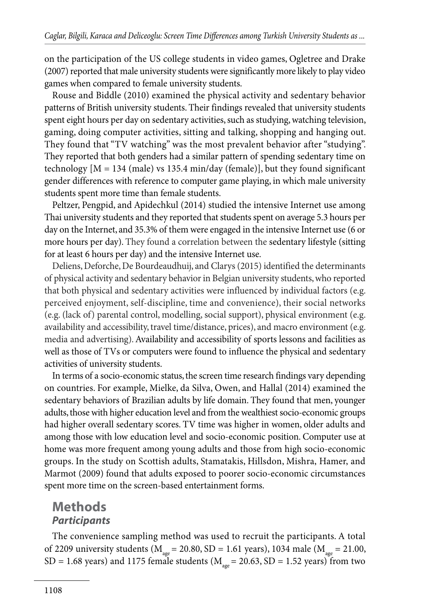on the participation of the US college students in video games, Ogletree and Drake (2007) reported that male university students were significantly more likely to play video games when compared to female university students.

Rouse and Biddle (2010) examined the physical activity and sedentary behavior patterns of British university students. Their findings revealed that university students spent eight hours per day on sedentary activities, such as studying, watching television, gaming, doing computer activities, sitting and talking, shopping and hanging out. They found that "TV watching" was the most prevalent behavior after "studying". They reported that both genders had a similar pattern of spending sedentary time on technology  $[M = 134 \text{ (male)} \text{ vs } 135.4 \text{ min/day (female)}]$ , but they found significant gender differences with reference to computer game playing, in which male university students spent more time than female students.

Peltzer, Pengpid, and Apidechkul (2014) studied the intensive Internet use among Thai university students and they reported that students spent on average 5.3 hours per day on the Internet, and 35.3% of them were engaged in the intensive Internet use (6 or more hours per day). They found a correlation between the sedentary lifestyle (sitting for at least 6 hours per day) and the intensive Internet use.

Deliens, Deforche, De Bourdeaudhuij, and Clarys (2015) identified the determinants of physical activity and sedentary behavior in Belgian university students, who reported that both physical and sedentary activities were influenced by individual factors (e.g. perceived enjoyment, self-discipline, time and convenience), their social networks (e.g. (lack of) parental control, modelling, social support), physical environment (e.g. availability and accessibility, travel time/distance, prices), and macro environment (e.g. media and advertising). Availability and accessibility of sports lessons and facilities as well as those of TVs or computers were found to influence the physical and sedentary activities of university students.

In terms of a socio-economic status, the screen time research findings vary depending on countries. For example, Mielke, da Silva, Owen, and Hallal (2014) examined the sedentary behaviors of Brazilian adults by life domain. They found that men, younger adults, those with higher education level and from the wealthiest socio-economic groups had higher overall sedentary scores. TV time was higher in women, older adults and among those with low education level and socio-economic position. Computer use at home was more frequent among young adults and those from high socio-economic groups. In the study on Scottish adults, Stamatakis, Hillsdon, Mishra, Hamer, and Marmot (2009) found that adults exposed to poorer socio-economic circumstances spent more time on the screen-based entertainment forms.

## **Methods** *Participants*

The convenience sampling method was used to recruit the participants. A total of 2209 university students ( $M_{\text{age}} = 20.80$ , SD = 1.61 years), 1034 male ( $M_{\text{age}} = 21.00$ , SD = 1.68 years) and 1175 female students ( $M_{\text{age}}$  = 20.63, SD = 1.52 years) from two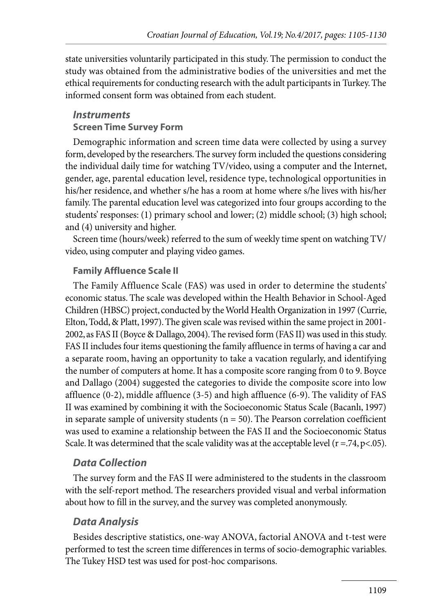state universities voluntarily participated in this study. The permission to conduct the study was obtained from the administrative bodies of the universities and met the ethical requirements for conducting research with the adult participants in Turkey. The informed consent form was obtained from each student.

#### *Instruments*

#### **Screen Time Survey Form**

Demographic information and screen time data were collected by using a survey form, developed by the researchers. The survey form included the questions considering the individual daily time for watching TV/video, using a computer and the Internet, gender, age, parental education level, residence type, technological opportunities in his/her residence, and whether s/he has a room at home where s/he lives with his/her family. The parental education level was categorized into four groups according to the students' responses: (1) primary school and lower; (2) middle school; (3) high school; and (4) university and higher.

Screen time (hours/week) referred to the sum of weekly time spent on watching TV/ video, using computer and playing video games.

#### **Family Affluence Scale II**

The Family Affluence Scale (FAS) was used in order to determine the students' economic status. The scale was developed within the Health Behavior in School-Aged Children (HBSC) project, conducted by the World Health Organization in 1997 (Currie, Elton, Todd, & Platt, 1997). The given scale was revised within the same project in 2001- 2002, as FAS II (Boyce & Dallago, 2004). The revised form (FAS II) was used in this study. FAS II includes four items questioning the family affluence in terms of having a car and a separate room, having an opportunity to take a vacation regularly, and identifying the number of computers at home. It has a composite score ranging from 0 to 9. Boyce and Dallago (2004) suggested the categories to divide the composite score into low affluence (0-2), middle affluence (3-5) and high affluence (6-9). The validity of FAS II was examined by combining it with the Socioeconomic Status Scale (Bacanlı, 1997) in separate sample of university students ( $n = 50$ ). The Pearson correlation coefficient was used to examine a relationship between the FAS II and the Socioeconomic Status Scale. It was determined that the scale validity was at the acceptable level  $(r = .74, p < .05)$ .

#### *Data Collection*

The survey form and the FAS II were administered to the students in the classroom with the self-report method. The researchers provided visual and verbal information about how to fill in the survey, and the survey was completed anonymously.

#### *Data Analysis*

Besides descriptive statistics, one-way ANOVA, factorial ANOVA and t-test were performed to test the screen time differences in terms of socio-demographic variables. The Tukey HSD test was used for post-hoc comparisons.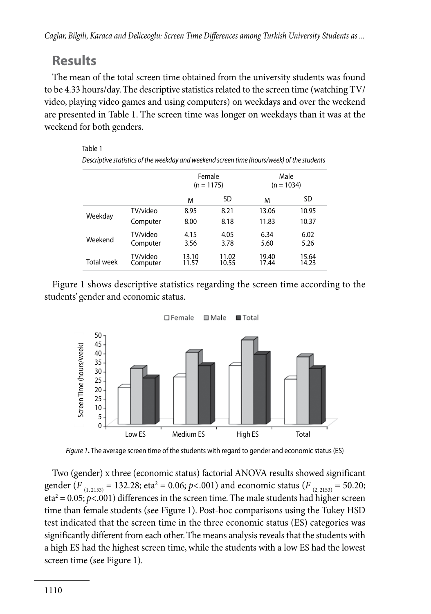## **Results**

The mean of the total screen time obtained from the university students was found to be 4.33 hours/day. The descriptive statistics related to the screen time (watching TV/ video, playing video games and using computers) on weekdays and over the weekend are presented in Table 1. The screen time was longer on weekdays than it was at the weekend for both genders.

#### Table 1 *Descriptive statistics of the weekday and weekend screen time (hours/week) of the students* Female  $(n = 1175)$ Male  $(n = 1034)$ M SD M SD Weekday TV/video 8.95 8.21 13.06 10.95 Computer 8.00 8.18 11.83 10.37 Weekend TV/video 4.15 4.05 6.34 6.02 Computer 3.56 3.78 5.60 5.26 Total week TV/video 13.10 11.02 19.40 15.64 Computer 11.57 10.55 17.44 14.23

Figure 1 shows descriptive statistics regarding the screen time according to the students' gender and economic status.



*Figure 1***.** The average screen time of the students with regard to gender and economic status (ES)

Two (gender) x three (economic status) factorial ANOVA results showed significant gender (*F*<sub>(1,2153)</sub> = 132.28; eta<sup>2</sup> = 0.06; *p*<.001) and economic status (*F*<sub>(2,2153)</sub> = 50.20;  $eta^2 = 0.05$ ;  $p<0.01$ ) differences in the screen time. The male students had higher screen time than female students (see Figure 1). Post-hoc comparisons using the Tukey HSD test indicated that the screen time in the three economic status (ES) categories was significantly different from each other. The means analysis reveals that the students with a high ES had the highest screen time, while the students with a low ES had the lowest screen time (see Figure 1).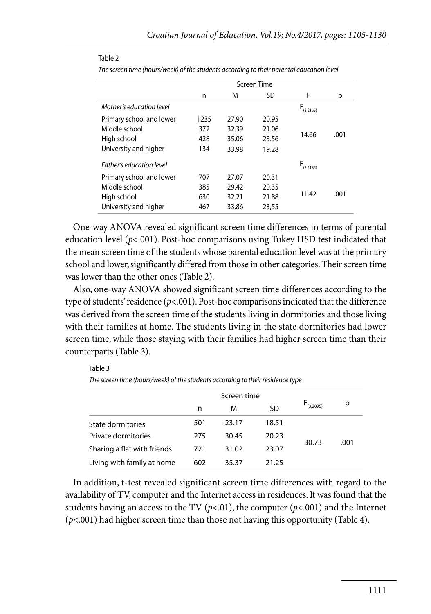|                          | Screen Time |       |       |                |      |  |
|--------------------------|-------------|-------|-------|----------------|------|--|
|                          | n           | M     | SD    | F              | р    |  |
| Mother's education level |             |       |       | F.<br>(3.2165) |      |  |
| Primary school and lower | 1235        | 27.90 | 20.95 |                |      |  |
| Middle school            | 372         | 32.39 | 21.06 |                | .001 |  |
| High school              | 428         | 35.06 | 23.56 | 14.66          |      |  |
| University and higher    | 134         | 33.98 | 19.28 |                |      |  |
| Father's education level |             |       |       | $F_{(3,2185)}$ |      |  |
| Primary school and lower | 707         | 27.07 | 20.31 |                |      |  |
| Middle school            | 385         | 29.42 | 20.35 | 11.42          | .001 |  |
| High school              | 630         | 32.21 | 21.88 |                |      |  |
| University and higher    | 467         | 33.86 | 23,55 |                |      |  |

#### Table 2

Table 3

*The screen time (hours/week) of the students according to their parental education level*

One-way ANOVA revealed significant screen time differences in terms of parental education level  $(p< 0.001)$ . Post-hoc comparisons using Tukey HSD test indicated that the mean screen time of the students whose parental education level was at the primary school and lower, significantly differed from those in other categories. Their screen time was lower than the other ones (Table 2).

Also, one-way ANOVA showed significant screen time differences according to the type of students' residence (*p*<.001). Post-hoc comparisons indicated that the difference was derived from the screen time of the students living in dormitories and those living with their families at home. The students living in the state dormitories had lower screen time, while those staying with their families had higher screen time than their counterparts (Table 3).

| The screen time (hours/week) of the students according to their residence type |     |             |           |                |      |  |  |  |
|--------------------------------------------------------------------------------|-----|-------------|-----------|----------------|------|--|--|--|
|                                                                                |     | Screen time |           |                |      |  |  |  |
|                                                                                | n   | м           | <b>SD</b> | $F_{(3,2095)}$ | р    |  |  |  |
| State dormitories                                                              | 501 | 23.17       | 18.51     | 30.73          |      |  |  |  |
| Private dormitories                                                            | 275 | 30.45       | 20.23     |                | .001 |  |  |  |
| Sharing a flat with friends                                                    | 721 | 31.02       | 23.07     |                |      |  |  |  |
| Living with family at home                                                     | 602 | 35.37       | 21.25     |                |      |  |  |  |

*The screen time (hours/week) of the students according to their residence type*

In addition, t-test revealed significant screen time differences with regard to the availability of TV, computer and the Internet access in residences. It was found that the students having an access to the TV ( $p<0.01$ ), the computer ( $p<0.01$ ) and the Internet (*p*<.001) had higher screen time than those not having this opportunity (Table 4).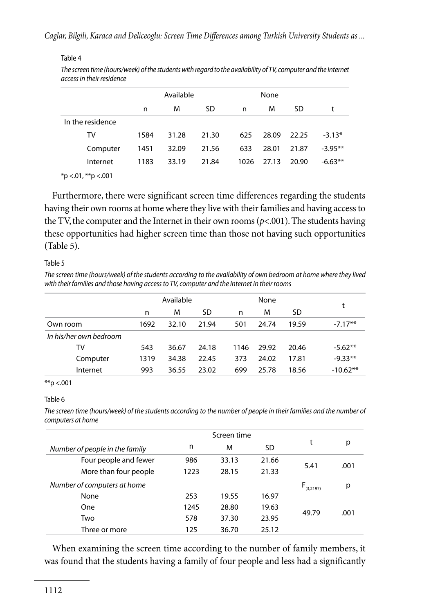#### Table 4

| The screen time (hours/week) of the students with regard to the availability of TV, computer and the Internet |
|---------------------------------------------------------------------------------------------------------------|
| access in their residence                                                                                     |

|                  | Available |       |       | None |       |       |           |
|------------------|-----------|-------|-------|------|-------|-------|-----------|
|                  | n         | M     | SD    | n    | M     | SD    | t         |
| In the residence |           |       |       |      |       |       |           |
| TV               | 1584      | 31.28 | 21.30 | 625  | 28.09 | 22.25 | $-3.13*$  |
| Computer         | 1451      | 32.09 | 21.56 | 633  | 28.01 | 21.87 | $-3.95**$ |
| Internet         | 1183      | 33.19 | 21.84 | 1026 | 27.13 | 20.90 | $-6.63**$ |

 $*$ p <.01,  $*$  $*$ p <.001

Furthermore, there were significant screen time differences regarding the students having their own rooms at home where they live with their families and having access to the TV, the computer and the Internet in their own rooms  $(p<.001)$ . The students having these opportunities had higher screen time than those not having such opportunities (Table 5).

#### Table 5

*The screen time (hours/week) of the students according to the availability of own bedroom at home where they lived with their families and those having access to TV, computer and the Internet in their rooms*

|                        |      | Available |       |      | None  |       |            |
|------------------------|------|-----------|-------|------|-------|-------|------------|
|                        | n    | м         | SD    | n    | M     | SD.   | t          |
| Own room               | 1692 | 32.10     | 21.94 | 501  | 24.74 | 19.59 | $-7.17**$  |
| In his/her own bedroom |      |           |       |      |       |       |            |
| TV                     | 543  | 36.67     | 24.18 | 1146 | 29.92 | 20.46 | $-5.62**$  |
| Computer               | 1319 | 34.38     | 22.45 | 373  | 24.02 | 17.81 | $-9.33**$  |
| Internet               | 993  | 36.55     | 23.02 | 699  | 25.78 | 18.56 | $-10.62**$ |

#### \*\*p <.001

#### Table 6

The screen time (hours/week) of the students according to the number of people in their families and the number of *computers at home*

|                                |      | Screen time |           |                |      |
|--------------------------------|------|-------------|-----------|----------------|------|
| Number of people in the family | n    | M           | <b>SD</b> | t              | р    |
| Four people and fewer          | 986  | 33.13       | 21.66     |                |      |
| More than four people          | 1223 | 28.15       | 21.33     | 5.41           | .001 |
| Number of computers at home    |      |             |           | $F_{(3,2197)}$ | р    |
| None                           | 253  | 19.55       | 16.97     |                |      |
| One                            | 1245 | 28.80       | 19.63     | 49.79          | .001 |
| Two                            | 578  | 37.30       | 23.95     |                |      |
| Three or more                  | 125  | 36.70       | 25.12     |                |      |

When examining the screen time according to the number of family members, it was found that the students having a family of four people and less had a significantly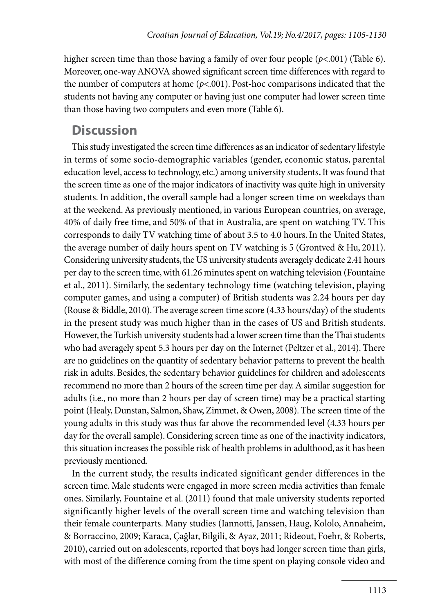higher screen time than those having a family of over four people (*p*<.001) (Table 6). Moreover, one-way ANOVA showed significant screen time differences with regard to the number of computers at home  $(p<.001)$ . Post-hoc comparisons indicated that the students not having any computer or having just one computer had lower screen time than those having two computers and even more (Table 6).

## **Discussion**

This study investigated the screen time differences as an indicator of sedentary lifestyle in terms of some socio-demographic variables (gender, economic status, parental education level, access to technology, etc.) among university students**.** It was found that the screen time as one of the major indicators of inactivity was quite high in university students. In addition, the overall sample had a longer screen time on weekdays than at the weekend. As previously mentioned, in various European countries, on average, 40% of daily free time, and 50% of that in Australia, are spent on watching TV. This corresponds to daily TV watching time of about 3.5 to 4.0 hours. In the United States, the average number of daily hours spent on TV watching is 5 (Grontved & Hu, 2011). Considering university students, the US university students averagely dedicate 2.41 hours per day to the screen time, with 61.26 minutes spent on watching television (Fountaine et al., 2011). Similarly, the sedentary technology time (watching television, playing computer games, and using a computer) of British students was 2.24 hours per day (Rouse & Biddle, 2010). The average screen time score (4.33 hours/day) of the students in the present study was much higher than in the cases of US and British students. However, the Turkish university students had a lower screen time than the Thai students who had averagely spent 5.3 hours per day on the Internet (Peltzer et al., 2014). There are no guidelines on the quantity of sedentary behavior patterns to prevent the health risk in adults. Besides, the sedentary behavior guidelines for children and adolescents recommend no more than 2 hours of the screen time per day. A similar suggestion for adults (i.e., no more than 2 hours per day of screen time) may be a practical starting point (Healy, Dunstan, Salmon, Shaw, Zimmet, & Owen, 2008). The screen time of the young adults in this study was thus far above the recommended level (4.33 hours per day for the overall sample). Considering screen time as one of the inactivity indicators, this situation increases the possible risk of health problems in adulthood, as it has been previously mentioned.

In the current study, the results indicated significant gender differences in the screen time. Male students were engaged in more screen media activities than female ones. Similarly, Fountaine et al. (2011) found that male university students reported significantly higher levels of the overall screen time and watching television than their female counterparts. Many studies (Iannotti, Janssen, Haug, Kololo, Annaheim, & Borraccino, 2009; Karaca, Çağlar, Bilgili, & Ayaz, 2011; Rideout, Foehr, & Roberts, 2010), carried out on adolescents, reported that boys had longer screen time than girls, with most of the difference coming from the time spent on playing console video and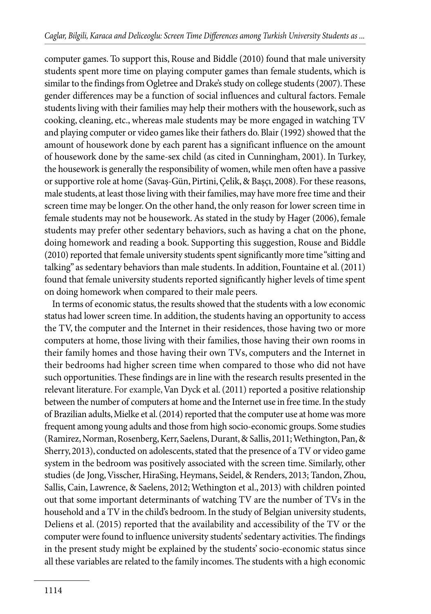computer games. To support this, Rouse and Biddle (2010) found that male university students spent more time on playing computer games than female students, which is similar to the findings from Ogletree and Drake's study on college students (2007). These gender differences may be a function of social influences and cultural factors. Female students living with their families may help their mothers with the housework, such as cooking, cleaning, etc., whereas male students may be more engaged in watching TV and playing computer or video games like their fathers do. Blair (1992) showed that the amount of housework done by each parent has a significant influence on the amount of housework done by the same-sex child (as cited in Cunningham, 2001). In Turkey, the housework is generally the responsibility of women, while men often have a passive or supportive role at home (Savaş-Gün, Pirtini, Çelik, & Başçı, 2008). For these reasons, male students, at least those living with their families, may have more free time and their screen time may be longer. On the other hand, the only reason for lower screen time in female students may not be housework. As stated in the study by Hager (2006), female students may prefer other sedentary behaviors, such as having a chat on the phone, doing homework and reading a book. Supporting this suggestion, Rouse and Biddle (2010) reported that female university students spent significantly more time "sitting and talking" as sedentary behaviors than male students. In addition, Fountaine et al. (2011) found that female university students reported significantly higher levels of time spent on doing homework when compared to their male peers.

In terms of economic status, the results showed that the students with a low economic status had lower screen time. In addition, the students having an opportunity to access the TV, the computer and the Internet in their residences, those having two or more computers at home, those living with their families, those having their own rooms in their family homes and those having their own TVs, computers and the Internet in their bedrooms had higher screen time when compared to those who did not have such opportunities. These findings are in line with the research results presented in the relevant literature. For example, Van Dyck et al. (2011) reported a positive relationship between the number of computers at home and the Internet use in free time. In the study of Brazilian adults, Mielke et al. (2014) reported that the computer use at home was more frequent among young adults and those from high socio-economic groups. Some studies (Ramirez, Norman, Rosenberg, Kerr, Saelens, Durant, & Sallis, 2011; Wethington, Pan, & Sherry, 2013), conducted on adolescents, stated that the presence of a TV or video game system in the bedroom was positively associated with the screen time. Similarly, other studies (de Jong, Visscher, HiraSing, Heymans, Seidel, & Renders, 2013; Tandon, Zhou, Sallis, Cain, Lawrence, & Saelens, 2012; Wethington et al., 2013) with children pointed out that some important determinants of watching TV are the number of TVs in the household and a TV in the child's bedroom. In the study of Belgian university students, Deliens et al. (2015) reported that the availability and accessibility of the TV or the computer were found to influence university students' sedentary activities. The findings in the present study might be explained by the students' socio-economic status since all these variables are related to the family incomes. The students with a high economic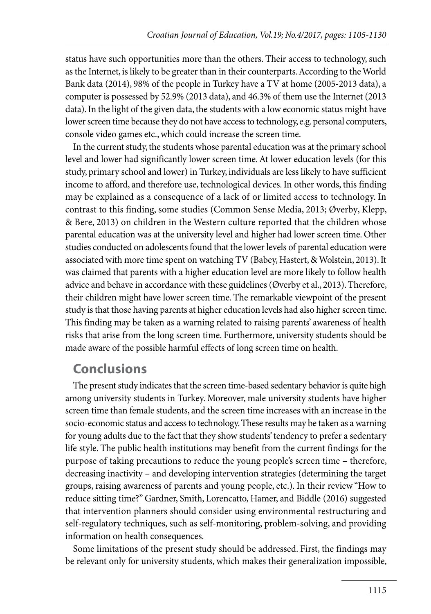status have such opportunities more than the others. Their access to technology, such as the Internet, is likely to be greater than in their counterparts. According to the World Bank data (2014), 98% of the people in Turkey have a TV at home (2005-2013 data), a computer is possessed by 52.9% (2013 data), and 46.3% of them use the Internet (2013 data). In the light of the given data, the students with a low economic status might have lower screen time because they do not have access to technology, e.g. personal computers, console video games etc., which could increase the screen time.

In the current study, the students whose parental education was at the primary school level and lower had significantly lower screen time. At lower education levels (for this study, primary school and lower) in Turkey, individuals are less likely to have sufficient income to afford, and therefore use, technological devices. In other words, this finding may be explained as a consequence of a lack of or limited access to technology. In contrast to this finding, some studies (Common Sense Media, 2013; Øverby, Klepp, & Bere, 2013) on children in the Western culture reported that the children whose parental education was at the university level and higher had lower screen time. Other studies conducted on adolescents found that the lower levels of parental education were associated with more time spent on watching TV (Babey, Hastert, & Wolstein, 2013). It was claimed that parents with a higher education level are more likely to follow health advice and behave in accordance with these guidelines (Øverby et al., 2013). Therefore, their children might have lower screen time. The remarkable viewpoint of the present study is that those having parents at higher education levels had also higher screen time. This finding may be taken as a warning related to raising parents' awareness of health risks that arise from the long screen time. Furthermore, university students should be made aware of the possible harmful effects of long screen time on health.

#### **Conclusions**

The present study indicates that the screen time-based sedentary behavior is quite high among university students in Turkey. Moreover, male university students have higher screen time than female students, and the screen time increases with an increase in the socio-economic status and access to technology. These results may be taken as a warning for young adults due to the fact that they show students' tendency to prefer a sedentary life style. The public health institutions may benefit from the current findings for the purpose of taking precautions to reduce the young people's screen time – therefore, decreasing inactivity – and developing intervention strategies (determining the target groups, raising awareness of parents and young people, etc.). In their review "How to reduce sitting time?" Gardner, Smith, Lorencatto, Hamer, and Biddle (2016) suggested that intervention planners should consider using environmental restructuring and self-regulatory techniques, such as self-monitoring, problem-solving, and providing information on health consequences.

Some limitations of the present study should be addressed. First, the findings may be relevant only for university students, which makes their generalization impossible,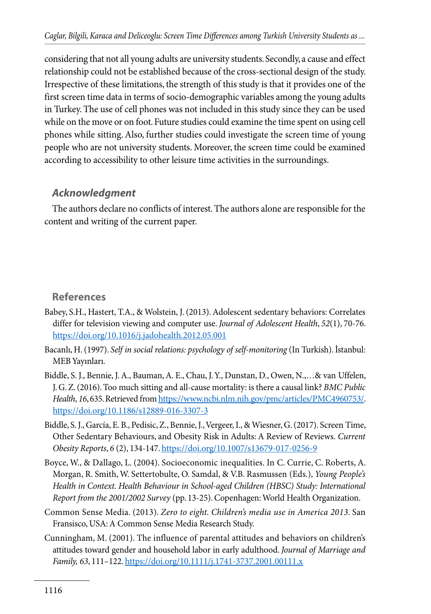considering that not all young adults are university students. Secondly, a cause and effect relationship could not be established because of the cross-sectional design of the study. Irrespective of these limitations, the strength of this study is that it provides one of the first screen time data in terms of socio-demographic variables among the young adults in Turkey. The use of cell phones was not included in this study since they can be used while on the move or on foot. Future studies could examine the time spent on using cell phones while sitting. Also, further studies could investigate the screen time of young people who are not university students. Moreover, the screen time could be examined according to accessibility to other leisure time activities in the surroundings.

#### *Acknowledgment*

The authors declare no conflicts of interest. The authors alone are responsible for the content and writing of the current paper.

#### **References**

- Babey, S.H., Hastert, T.A., & Wolstein, J. (2013). Adolescent sedentary behaviors: Correlates differ for television viewing and computer use. *Journal of Adolescent Health*, *52*(1), 70-76. https://doi.org/10.1016/j.jadohealth.2012.05.001
- Bacanlı, H. (1997). *Self in social relations: psychology of self-monitoring* (In Turkish). İstanbul: MEB Yayınları.
- Biddle, S. J., Bennie, J. A., Bauman, A. E., Chau, J. Y., Dunstan, D., Owen, N.,…& van Uffelen, J. G. Z. (2016). Too much sitting and all-cause mortality: is there a causal link? *BMC Public Health*, *16*, 635. Retrieved from https://www.ncbi.nlm.nih.gov/pmc/articles/PMC4960753/. https://doi.org/10.1186/s12889-016-3307-3
- Biddle, S. J., García, E. B., Pedisic, Z., Bennie, J., Vergeer, I., & Wiesner, G. (2017). Screen Time, Other Sedentary Behaviours, and Obesity Risk in Adults: A Review of Reviews. *Current Obesity Reports*, *6* (2), 134-147. https://doi.org/10.1007/s13679-017-0256-9
- Boyce, W., & Dallago, L. (2004). Socioeconomic inequalities. In C. Currie, C. Roberts, A. Morgan, R. Smith, W. Settertobulte, O. Samdal, & V.B. Rasmussen (Eds.), *Young People's Health in Context. Health Behaviour in School-aged Children (HBSC) Study: International Report from the 2001/2002 Survey* (pp. 13-25). Copenhagen: World Health Organization.
- Common Sense Media. (2013). *Zero to eight. Children's media use in America 2013*. San Fransisco, USA: A Common Sense Media Research Study.
- Cunningham, M. (2001). The influence of parental attitudes and behaviors on children's attitudes toward gender and household labor in early adulthood. *Journal of Marriage and Family, 63*, 111–122. https://doi.org/10.1111/j.1741-3737.2001.00111.x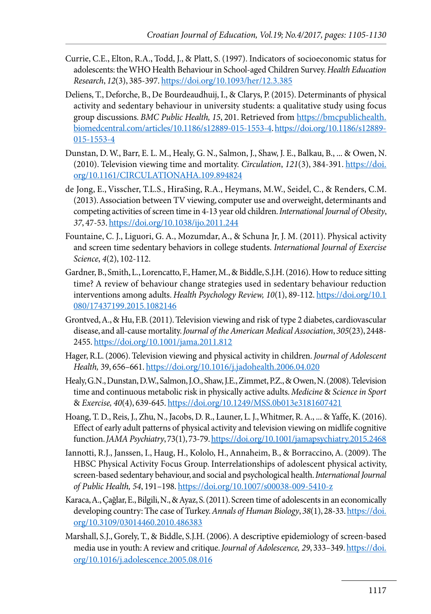- Currie, C.E., Elton, R.A., Todd, J., & Platt, S. (1997). Indicators of socioeconomic status for adolescents: the WHO Health Behaviour in School-aged Children Survey. *Health Education Research*, *12*(3), 385-397. https://doi.org/10.1093/her/12.3.385
- Deliens, T., Deforche, B., De Bourdeaudhuij, I., & Clarys, P. (2015). Determinants of physical activity and sedentary behaviour in university students: a qualitative study using focus group discussions. *BMC Public Health, 15*, 201. Retrieved from https://bmcpublichealth. biomedcentral.com/articles/10.1186/s12889-015-1553-4. https://doi.org/10.1186/s12889- 015-1553-4
- Dunstan, D. W., Barr, E. L. M., Healy, G. N., Salmon, J., Shaw, J. E., Balkau, B., ... & Owen, N. (2010). Television viewing time and mortality. *Circulation*, *121*(3), 384-391. https://doi. org/10.1161/CIRCULATIONAHA.109.894824
- de Jong, E., Visscher, T.L.S., HiraSing, R.A., Heymans, M.W., Seidel, C., & Renders, C.M. (2013). Association between TV viewing, computer use and overweight, determinants and competing activities of screen time in 4-13 year old children. *International Journal of Obesity*, *37*, 47-53. https://doi.org/10.1038/ijo.2011.244
- Fountaine, C. J., Liguori, G. A., Mozumdar, A., & Schuna Jr, J. M. (2011). Physical activity and screen time sedentary behaviors in college students. *International Journal of Exercise Science*, *4*(2), 102-112.
- Gardner, B., Smith, L., Lorencatto, F., Hamer, M., & Biddle, S.J.H. (2016). How to reduce sitting time? A review of behaviour change strategies used in sedentary behaviour reduction interventions among adults. *Health Psychology Review, 10*(1), 89-112. https://doi.org/10.1 080/17437199.2015.1082146
- Grontved, A., & Hu, F.B. (2011). Television viewing and risk of type 2 diabetes, cardiovascular disease, and all-cause mortality. *Journal of the American Medical Association*, *305*(23), 2448- 2455. https://doi.org/10.1001/jama.2011.812
- Hager, R.L. (2006). Television viewing and physical activity in children. *Journal of Adolescent Health,* 39, 656–661. https://doi.org/10.1016/j.jadohealth.2006.04.020
- Healy, G.N., Dunstan, D.W., Salmon, J.O., Shaw, J.E., Zimmet, P.Z., & Owen, N. (2008). Television time and continuous metabolic risk in physically active adults. *Medicine* & *Science in Sport*  & *Exercise, 40*(4), 639-645. https://doi.org/10.1249/MSS.0b013e3181607421
- Hoang, T. D., Reis, J., Zhu, N., Jacobs, D. R., Launer, L. J., Whitmer, R. A., ... & Yaffe, K. (2016). Effect of early adult patterns of physical activity and television viewing on midlife cognitive function. *JAMA Psychiatry*, 73(1), 73-79. https://doi.org/10.1001/jamapsychiatry.2015.2468
- Iannotti, R.J., Janssen, I., Haug, H., Kololo, H., Annaheim, B., & Borraccino, A. (2009). The HBSC Physical Activity Focus Group. Interrelationships of adolescent physical activity, screen-based sedentary behaviour, and social and psychological health. *International Journal of Public Health, 54*, 191–198. https://doi.org/10.1007/s00038-009-5410-z
- Karaca, A., Çağlar, E., Bilgili, N., & Ayaz, S. (2011). Screen time of adolescents in an economically developing country: The case of Turkey. *Annals of Human Biology*, *38*(1), 28-33. https://doi. org/10.3109/03014460.2010.486383
- Marshall, S.J., Gorely, T., & Biddle, S.J.H. (2006). A descriptive epidemiology of screen-based media use in youth: A review and critique. *Journal of Adolescence, 29*, 333–349. https://doi. org/10.1016/j.adolescence.2005.08.016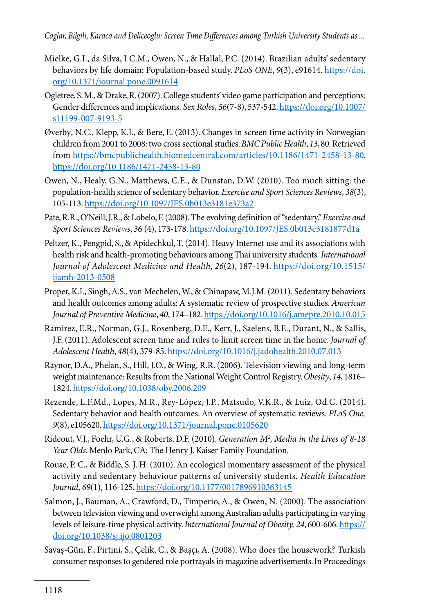- Mielke, G.I., da Silva, I.C.M., Owen, N., & Hallal, P.C. (2014). Brazilian adults' sedentary behaviors by life domain: Population-based study. *PLoS ONE*, *9*(3), e91614. https://doi. org/10.1371/journal.pone.0091614
- Ogletree, S. M., & Drake, R. (2007). College students' video game participation and perceptions: Gender differences and implications. *Sex Roles*, *56*(7-8), 537-542. https://doi.org/10.1007/ s11199-007-9193-5
- Øverby, N.C., Klepp, K.I., & Bere, E. (2013). Changes in screen time activity in Norwegian children from 2001 to 2008: two cross sectional studies. *BMC Public Health*, *13*, 80. Retrieved from https://bmcpublichealth.biomedcentral.com/articles/10.1186/1471-2458-13-80. https://doi.org/10.1186/1471-2458-13-80
- Owen, N., Healy, G.N., Matthews, C.E., & Dunstan, D.W. (2010). Too much sitting: the population-health science of sedentary behavior. *Exercise and Sport Sciences Reviews*, *38*(3), 105-113. https://doi.org/10.1097/JES.0b013e3181e373a2
- Pate, R.R., O'Neill, J.R., & Lobelo, F. (2008). The evolving definition of ''sedentary.'' *Exercise and Sport Sciences Reviews*, *36* (4), 173-178. https://doi.org/10.1097/JES.0b013e3181877d1a
- Peltzer, K., Pengpid, S., & Apidechkul, T. (2014). Heavy Internet use and its associations with health risk and health-promoting behaviours among Thai university students. *International Journal of Adolescent Medicine and Health*, *26*(2), 187-194. https://doi.org/10.1515/ ijamh-2013-0508
- Proper, K.I., Singh, A.S., van Mechelen, W., & Chinapaw, M.J.M. (2011). Sedentary behaviors and health outcomes among adults: A systematic review of prospective studies. *American Journal of Preventive Medicine*, *40*, 174–182. https://doi.org/10.1016/j.amepre.2010.10.015
- Ramirez, E.R., Norman, G.J., Rosenberg, D.E., Kerr, J., Saelens, B.E., Durant, N., & Sallis, J.F. (2011). Adolescent screen time and rules to limit screen time in the home. *Journal of Adolescent Health*, *48*(4), 379-85. https://doi.org/10.1016/j.jadohealth.2010.07.013
- Raynor, D.A., Phelan, S., Hill, J.O., & Wing, R.R. (2006). Television viewing and long-term weight maintenance: Results from the National Weight Control Registry. *Obesity*, *14*, 1816– 1824. https://doi.org/10.1038/oby.2006.209
- Rezende, L.F.Md., Lopes, M.R., Rey-López, J.P., Matsudo, V.K.R., & Luiz, Od.C. (2014). Sedentary behavior and health outcomes: An overview of systematic reviews. *PLoS One, 9*(8), e105620. https://doi.org/10.1371/journal.pone.0105620
- Rideout, V.J., Foehr, U.G., & Roberts, D.F. (2010). *Generation M2 , Media in the Lives of 8-18 Year Olds*. Menlo Park, CA: The Henry J. Kaiser Family Foundation.
- Rouse, P. C., & Biddle, S. J. H. (2010). An ecological momentary assessment of the physical activity and sedentary behaviour patterns of university students. *Health Education Journal*, *69*(1), 116-125. https://doi.org/10.1177/0017896910363145
- Salmon, J., Bauman, A., Crawford, D., Timperio, A., & Owen, N. (2000). The association between television viewing and overweight among Australian adults participating in varying levels of leisure-time physical activity. *International Journal of Obesity, 24*, 600-606. https:// doi.org/10.1038/sj.ijo.0801203
- Savaş-Gün, F., Pirtini, S., Çelik, C., & Başçı, A. (2008). Who does the housework? Turkish consumer responses to gendered role portrayals in magazine advertisements. In Proceedings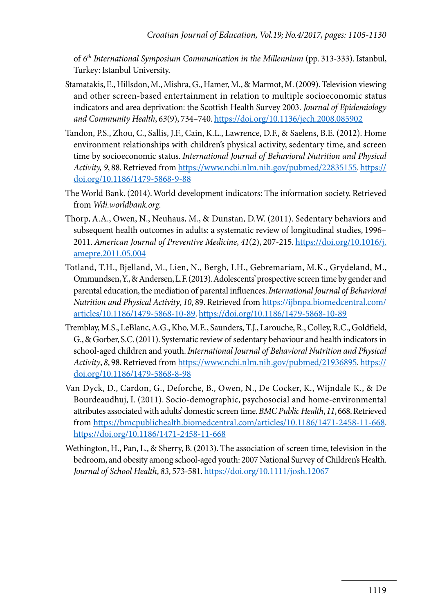of 6<sup>th</sup> International Symposium Communication in the Millennium (pp. 313-333). Istanbul, Turkey: Istanbul University.

- Stamatakis, E., Hillsdon, M., Mishra, G., Hamer, M., & Marmot, M. (2009). Television viewing and other screen-based entertainment in relation to multiple socioeconomic status indicators and area deprivation: the Scottish Health Survey 2003. *Journal of Epidemiology and Community Health*, *63*(9), 734–740. https://doi.org/10.1136/jech.2008.085902
- Tandon, P.S., Zhou, C., Sallis, J.F., Cain, K.L., Lawrence, D.F., & Saelens, B.E. (2012). Home environment relationships with children's physical activity, sedentary time, and screen time by socioeconomic status. *International Journal of Behavioral Nutrition and Physical Activity, 9*, 88. Retrieved from https://www.ncbi.nlm.nih.gov/pubmed/22835155. https:// doi.org/10.1186/1479-5868-9-88
- The World Bank. (2014). World development indicators: The information society. Retrieved from *Wdi.worldbank.org*.
- Thorp, A.A., Owen, N., Neuhaus, M., & Dunstan, D.W. (2011). Sedentary behaviors and subsequent health outcomes in adults: a systematic review of longitudinal studies, 1996– 2011. *American Journal of Preventive Medicine*, *41*(2), 207-215. https://doi.org/10.1016/j. amepre.2011.05.004
- Totland, T.H., Bjelland, M., Lien, N., Bergh, I.H., Gebremariam, M.K., Grydeland, M., Ommundsen, Y., & Andersen, L.F. (2013). Adolescents' prospective screen time by gender and parental education, the mediation of parental influences. *International Journal of Behavioral Nutrition and Physical Activity*, *10*, 89. Retrieved from https://ijbnpa.biomedcentral.com/ articles/10.1186/1479-5868-10-89. https://doi.org/10.1186/1479-5868-10-89
- Tremblay, M.S., LeBlanc, A.G., Kho, M.E., Saunders, T.J., Larouche, R., Colley, R.C., Goldfield, G., & Gorber, S.C. (2011). Systematic review of sedentary behaviour and health indicators in school-aged children and youth. *International Journal of Behavioral Nutrition and Physical Activity*, *8*, 98. Retrieved from https://www.ncbi.nlm.nih.gov/pubmed/21936895. https:// doi.org/10.1186/1479-5868-8-98
- Van Dyck, D., Cardon, G., Deforche, B., Owen, N., De Cocker, K., Wijndale K., & De Bourdeaudhuj, I. (2011). Socio-demographic, psychosocial and home-environmental attributes associated with adults' domestic screen time. *BMC Public Health*, *11*, 668. Retrieved from https://bmcpublichealth.biomedcentral.com/articles/10.1186/1471-2458-11-668. https://doi.org/10.1186/1471-2458-11-668
- Wethington, H., Pan, L., & Sherry, B. (2013). The association of screen time, television in the bedroom, and obesity among school-aged youth: 2007 National Survey of Children's Health. *Journal of School Health*, *83*, 573-581. https://doi.org/10.1111/josh.12067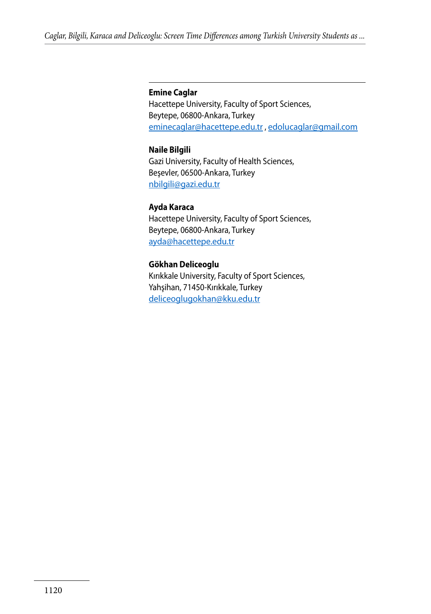#### **Emine Caglar**

Hacettepe University, Faculty of Sport Sciences, Beytepe, 06800-Ankara, Turkey eminecaglar@hacettepe.edu.tr , edolucaglar@gmail.com

#### **Naile Bilgili**

Gazi University, Faculty of Health Sciences, Beşevler, 06500-Ankara, Turkey nbilgili@gazi.edu.tr

#### **Ayda Karaca**

Hacettepe University, Faculty of Sport Sciences, Beytepe, 06800-Ankara, Turkey ayda@hacettepe.edu.tr

#### **Gökhan Deliceoglu**

Kırıkkale University, Faculty of Sport Sciences, Yahşihan, 71450-Kırıkkale, Turkey deliceoglugokhan@kku.edu.tr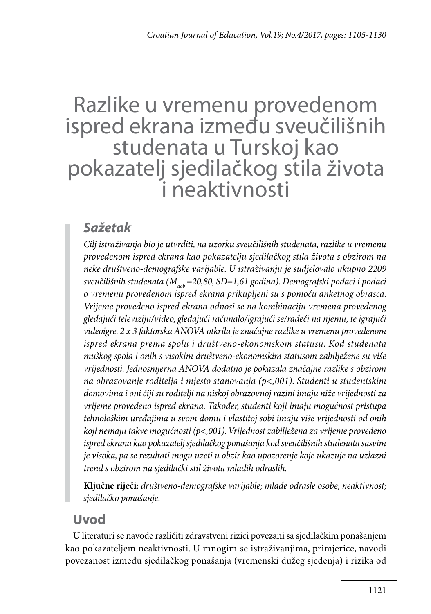## Razlike u vremenu provedenom ispred ekrana između sveučilišnih studenata u Turskoj kao pokazatelj sjedilačkog stila života i neaktivnosti

## *Sažetak*

*Cilj istraživanja bio je utvrditi, na uzorku sveučilišnih studenata, razlike u vremenu provedenom ispred ekrana kao pokazatelju sjedilačkog stila života s obzirom na neke društveno-demografske varijable. U istraživanju je sudjelovalo ukupno 2209*  sveučilišnih studenata (M<sub>dob</sub> = 20,80, SD = 1,61 godina). Demografski podaci i podaci *o vremenu provedenom ispred ekrana prikupljeni su s pomoću anketnog obrasca. Vrijeme provedeno ispred ekrana odnosi se na kombinaciju vremena provedenog gledajući televiziju/video, gledajući računalo/igrajući se/radeći na njemu, te igrajući videoigre. 2 x 3 faktorska ANOVA otkrila je značajne razlike u vremenu provedenom ispred ekrana prema spolu i društveno-ekonomskom statusu. Kod studenata muškog spola i onih s visokim društveno-ekonomskim statusom zabilježene su više vrijednosti. Jednosmjerna ANOVA dodatno je pokazala značajne razlike s obzirom na obrazovanje roditelja i mjesto stanovanja (p<,001). Studenti u studentskim domovima i oni čiji su roditelji na niskoj obrazovnoj razini imaju niže vrijednosti za vrijeme provedeno ispred ekrana. Također, studenti koji imaju mogućnost pristupa tehnološkim uređajima u svom domu i vlastitoj sobi imaju više vrijednosti od onih koji nemaju takve mogućnosti (p<,001). Vrijednost zabilježena za vrijeme provedeno ispred ekrana kao pokazatelj sjedilačkog ponašanja kod sveučilišnih studenata sasvim je visoka, pa se rezultati mogu uzeti u obzir kao upozorenje koje ukazuje na uzlazni trend s obzirom na sjedilački stil života mladih odraslih.* 

**Ključne riječi:** *društveno-demografske varijable; mlade odrasle osobe; neaktivnost; sjedilačko ponašanje.*

## **Uvod**

U literaturi se navode različiti zdravstveni rizici povezani sa sjedilačkim ponašanjem kao pokazateljem neaktivnosti. U mnogim se istraživanjima, primjerice, navodi povezanost između sjedilačkog ponašanja (vremenski dužeg sjedenja) i rizika od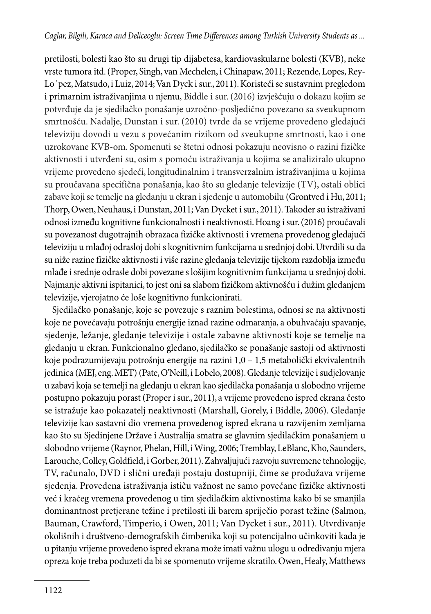pretilosti, bolesti kao što su drugi tip dijabetesa, kardiovaskularne bolesti (KVB), neke vrste tumora itd. (Proper, Singh, van Mechelen, i Chinapaw, 2011; Rezende, Lopes, Rey-Lo´pez, Matsudo, i Luiz, 2014; Van Dyck i sur., 2011). Koristeći se sustavnim pregledom i primarnim istraživanjima u njemu, Biddle i sur. (2016) izvješćuju o dokazu kojim se potvrđuje da je sjedilačko ponašanje uzročno-posljedično povezano sa sveukupnom smrtnošću. Nadalje, Dunstan i sur. (2010) tvrde da se vrijeme provedeno gledajući televiziju dovodi u vezu s povećanim rizikom od sveukupne smrtnosti, kao i one uzrokovane KVB-om. Spomenuti se štetni odnosi pokazuju neovisno o razini fizičke aktivnosti i utvrđeni su, osim s pomoću istraživanja u kojima se analiziralo ukupno vrijeme provedeno sjedeći, longitudinalnim i transverzalnim istraživanjima u kojima su proučavana specifična ponašanja, kao što su gledanje televizije (TV), ostali oblici zabave koji se temelje na gledanju u ekran i sjedenje u automobilu (Grontved i Hu, 2011; Thorp, Owen, Neuhaus, i Dunstan, 2011; Van Dycket i sur., 2011). Također su istraživani odnosi između kognitivne funkcionalnosti i neaktivnosti. Hoang i sur. (2016) proučavali su povezanost dugotrajnih obrazaca fizičke aktivnosti i vremena provedenog gledajući televiziju u mlađoj odrasloj dobi s kognitivnim funkcijama u srednjoj dobi. Utvrdili su da su niže razine fizičke aktivnosti i više razine gledanja televizije tijekom razdoblja između mlađe i srednje odrasle dobi povezane s lošijim kognitivnim funkcijama u srednjoj dobi. Najmanje aktivni ispitanici, to jest oni sa slabom fizičkom aktivnošću i dužim gledanjem televizije, vjerojatno će loše kognitivno funkcionirati.

Sjedilačko ponašanje, koje se povezuje s raznim bolestima, odnosi se na aktivnosti koje ne povećavaju potrošnju energije iznad razine odmaranja, a obuhvaćaju spavanje, sjedenje, ležanje, gledanje televizije i ostale zabavne aktivnosti koje se temelje na gledanju u ekran. Funkcionalno gledano, sjedilačko se ponašanje sastoji od aktivnosti koje podrazumijevaju potrošnju energije na razini 1,0 – 1,5 metabolički ekvivalentnih jedinica (MEJ, eng. MET) (Pate, O'Neill, i Lobelo, 2008). Gledanje televizije i sudjelovanje u zabavi koja se temelji na gledanju u ekran kao sjedilačka ponašanja u slobodno vrijeme postupno pokazuju porast (Proper i sur., 2011), a vrijeme provedeno ispred ekrana često se istražuje kao pokazatelj neaktivnosti (Marshall, Gorely, i Biddle, 2006). Gledanje televizije kao sastavni dio vremena provedenog ispred ekrana u razvijenim zemljama kao što su Sjedinjene Države i Australija smatra se glavnim sjedilačkim ponašanjem u slobodno vrijeme (Raynor, Phelan, Hill, i Wing, 2006; Tremblay, LeBlanc, Kho, Saunders, Larouche, Colley, Goldfield, i Gorber, 2011). Zahvaljujući razvoju suvremene tehnologije, TV, računalo, DVD i slični uređaji postaju dostupniji, čime se produžava vrijeme sjedenja. Provedena istraživanja ističu važnost ne samo povećane fizičke aktivnosti već i kraćeg vremena provedenog u tim sjedilačkim aktivnostima kako bi se smanjila dominantnost pretjerane težine i pretilosti ili barem spriječio porast težine (Salmon, Bauman, Crawford, Timperio, i Owen, 2011; Van Dycket i sur., 2011). Utvrđivanje okolišnih i društveno-demografskih čimbenika koji su potencijalno učinkoviti kada je u pitanju vrijeme provedeno ispred ekrana može imati važnu ulogu u određivanju mjera opreza koje treba poduzeti da bi se spomenuto vrijeme skratilo. Owen, Healy, Matthews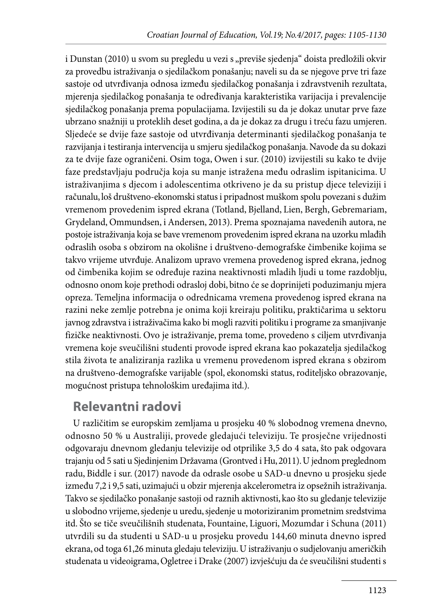i Dunstan (2010) u svom su pregledu u vezi s "previše sjedenja" doista predložili okvir za provedbu istraživanja o sjedilačkom ponašanju; naveli su da se njegove prve tri faze sastoje od utvrđivanja odnosa između sjedilačkog ponašanja i zdravstvenih rezultata, mjerenja sjedilačkog ponašanja te određivanja karakteristika varijacija i prevalencije sjedilačkog ponašanja prema populacijama. Izvijestili su da je dokaz unutar prve faze ubrzano snažniji u proteklih deset godina, a da je dokaz za drugu i treću fazu umjeren. Sljedeće se dvije faze sastoje od utvrđivanja determinanti sjedilačkog ponašanja te razvijanja i testiranja intervencija u smjeru sjedilačkog ponašanja. Navode da su dokazi za te dvije faze ograničeni. Osim toga, Owen i sur. (2010) izvijestili su kako te dvije faze predstavljaju područja koja su manje istražena među odraslim ispitanicima. U istraživanjima s djecom i adolescentima otkriveno je da su pristup djece televiziji i računalu, loš društveno-ekonomski status i pripadnost muškom spolu povezani s dužim vremenom provedenim ispred ekrana (Totland, Bjelland, Lien, Bergh, Gebremariam, Grydeland, Ommundsen, i Andersen, 2013). Prema spoznajama navedenih autora, ne postoje istraživanja koja se bave vremenom provedenim ispred ekrana na uzorku mlađih odraslih osoba s obzirom na okolišne i društveno-demografske čimbenike kojima se takvo vrijeme utvrđuje. Analizom upravo vremena provedenog ispred ekrana, jednog od čimbenika kojim se određuje razina neaktivnosti mladih ljudi u tome razdoblju, odnosno onom koje prethodi odrasloj dobi, bitno će se doprinijeti poduzimanju mjera opreza. Temeljna informacija o odrednicama vremena provedenog ispred ekrana na razini neke zemlje potrebna je onima koji kreiraju politiku, praktičarima u sektoru javnog zdravstva i istraživačima kako bi mogli razviti politiku i programe za smanjivanje fizičke neaktivnosti. Ovo je istraživanje, prema tome, provedeno s ciljem utvrđivanja vremena koje sveučilišni studenti provode ispred ekrana kao pokazatelja sjedilačkog stila života te analiziranja razlika u vremenu provedenom ispred ekrana s obzirom na društveno-demografske varijable (spol, ekonomski status, roditeljsko obrazovanje, mogućnost pristupa tehnološkim uređajima itd.).

## **Relevantni radovi**

U različitim se europskim zemljama u prosjeku 40 % slobodnog vremena dnevno, odnosno 50 % u Australiji, provede gledajući televiziju. Te prosječne vrijednosti odgovaraju dnevnom gledanju televizije od otprilike 3,5 do 4 sata, što pak odgovara trajanju od 5 sati u Sjedinjenim Državama (Grontved i Hu, 2011). U jednom preglednom radu, Biddle i sur. (2017) navode da odrasle osobe u SAD-u dnevno u prosjeku sjede između 7,2 i 9,5 sati, uzimajući u obzir mjerenja akcelerometra iz opsežnih istraživanja. Takvo se sjedilačko ponašanje sastoji od raznih aktivnosti, kao što su gledanje televizije u slobodno vrijeme, sjedenje u uredu, sjedenje u motoriziranim prometnim sredstvima itd. Što se tiče sveučilišnih studenata, Fountaine, Liguori, Mozumdar i Schuna (2011) utvrdili su da studenti u SAD-u u prosjeku provedu 144,60 minuta dnevno ispred ekrana, od toga 61,26 minuta gledaju televiziju. U istraživanju o sudjelovanju američkih studenata u videoigrama, Ogletree i Drake (2007) izvješćuju da će sveučilišni studenti s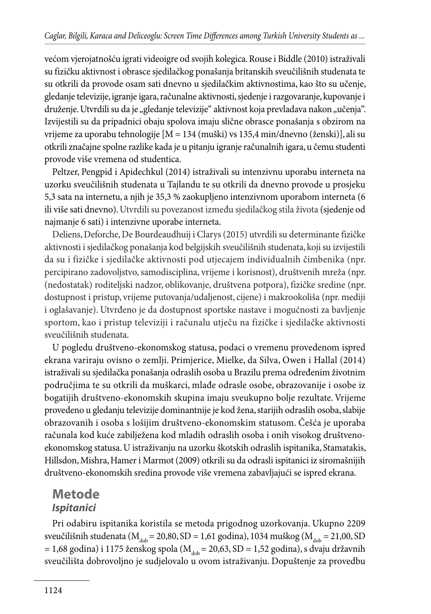većom vjerojatnošću igrati videoigre od svojih kolegica. Rouse i Biddle (2010) istraživali su fizičku aktivnost i obrasce sjedilačkog ponašanja britanskih sveučilišnih studenata te su otkrili da provode osam sati dnevno u sjedilačkim aktivnostima, kao što su učenje, gledanje televizije, igranje igara, računalne aktivnosti, sjedenje i razgovaranje, kupovanje i druženje. Utvrdili su da je "gledanje televizije" aktivnost koja prevladava nakon "učenja". Izvijestili su da pripadnici obaju spolova imaju slične obrasce ponašanja s obzirom na vrijeme za uporabu tehnologije [M = 134 (muški) vs 135,4 min/dnevno (ženski)], ali su otkrili značajne spolne razlike kada je u pitanju igranje računalnih igara, u čemu studenti provode više vremena od studentica.

Peltzer, Pengpid i Apidechkul (2014) istraživali su intenzivnu uporabu interneta na uzorku sveučilišnih studenata u Tajlandu te su otkrili da dnevno provode u prosjeku 5,3 sata na internetu, a njih je 35,3 % zaokupljeno intenzivnom uporabom interneta (6 ili više sati dnevno). Utvrdili su povezanost između sjedilačkog stila života (sjedenje od najmanje 6 sati) i intenzivne uporabe interneta.

Deliens, Deforche, De Bourdeaudhuij i Clarys (2015) utvrdili su determinante fizičke aktivnosti i sjedilačkog ponašanja kod belgijskih sveučilišnih studenata, koji su izvijestili da su i fizičke i sjedilačke aktivnosti pod utjecajem individualnih čimbenika (npr. percipirano zadovoljstvo, samodisciplina, vrijeme i korisnost), društvenih mreža (npr. (nedostatak) roditeljski nadzor, oblikovanje, društvena potpora), fizičke sredine (npr. dostupnost i pristup, vrijeme putovanja/udaljenost, cijene) i makrookoliša (npr. mediji i oglašavanje). Utvrđeno je da dostupnost sportske nastave i mogućnosti za bavljenje sportom, kao i pristup televiziji i računalu utječu na fizičke i sjedilačke aktivnosti sveučilišnih studenata.

U pogledu društveno-ekonomskog statusa, podaci o vremenu provedenom ispred ekrana variraju ovisno o zemlji. Primjerice, Mielke, da Silva, Owen i Hallal (2014) istraživali su sjedilačka ponašanja odraslih osoba u Brazilu prema određenim životnim područjima te su otkrili da muškarci, mlađe odrasle osobe, obrazovanije i osobe iz bogatijih društveno-ekonomskih skupina imaju sveukupno bolje rezultate. Vrijeme provedeno u gledanju televizije dominantnije je kod žena, starijih odraslih osoba, slabije obrazovanih i osoba s lošijim društveno-ekonomskim statusom. Češća je uporaba računala kod kuće zabilježena kod mladih odraslih osoba i onih visokog društvenoekonomskog statusa. U istraživanju na uzorku škotskih odraslih ispitanika, Stamatakis, Hillsdon, Mishra, Hamer i Marmot (2009) otkrili su da odrasli ispitanici iz siromašnijih društveno-ekonomskih sredina provode više vremena zabavljajući se ispred ekrana.

## **Metode** *Ispitanici*

Pri odabiru ispitanika koristila se metoda prigodnog uzorkovanja. Ukupno 2209 sveučilišnih studenata ( $M_{\text{dob}} = 20,80$ , SD = 1,61 godina), 1034 muškog ( $M_{\text{dob}} = 21,00$ , SD  $= 1,68$  godina) i 1175 ženskog spola ( $M_{\text{dob}} = 20,63$ , SD = 1,52 godina), s dvaju državnih sveučilišta dobrovoljno je sudjelovalo u ovom istraživanju. Dopuštenje za provedbu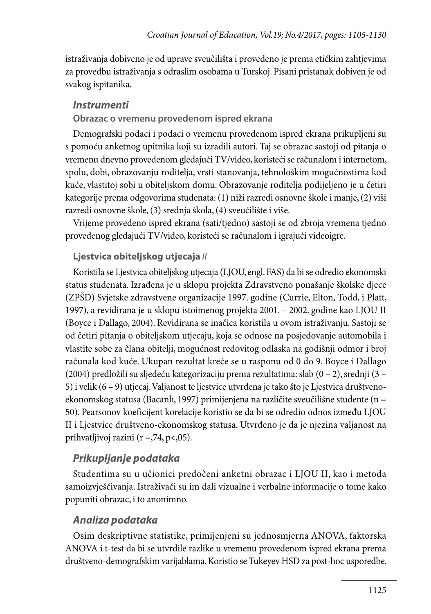istraživanja dobiveno je od uprave sveučilišta i provedeno je prema etičkim zahtjevima za provedbu istraživanja s odraslim osobama u Turskoj. Pisani pristanak dobiven je od svakog ispitanika.

#### *Instrumenti*

#### **Obrazac o vremenu provedenom ispred ekrana**

Demografski podaci i podaci o vremenu provedenom ispred ekrana prikupljeni su s pomoću anketnog upitnika koji su izradili autori. Taj se obrazac sastoji od pitanja o vremenu dnevno provedenom gledajući TV/video, koristeći se računalom i internetom, spolu, dobi, obrazovanju roditelja, vrsti stanovanja, tehnološkim mogućnostima kod kuće, vlastitoj sobi u obiteljskom domu. Obrazovanje roditelja podijeljeno je u četiri kategorije prema odgovorima studenata: (1) niži razredi osnovne škole i manje, (2) viši razredi osnovne škole, (3) srednja škola, (4) sveučilište i više.

Vrijeme provedeno ispred ekrana (sati/tjedno) sastoji se od zbroja vremena tjedno provedenog gledajući TV/video, koristeći se računalom i igrajući videoigre.

#### **Ljestvica obiteljskog utjecaja** *II*

Koristila se Ljestvica obiteljskog utjecaja (LJOU, engl. FAS) da bi se odredio ekonomski status studenata. Izrađena je u sklopu projekta Zdravstveno ponašanje školske djece (ZPŠD) Svjetske zdravstvene organizacije 1997. godine (Currie, Elton, Todd, i Platt, 1997), a revidirana je u sklopu istoimenog projekta 2001. – 2002. godine kao LJOU II (Boyce i Dallago, 2004). Revidirana se inačica koristila u ovom istraživanju. Sastoji se od četiri pitanja o obiteljskom utjecaju, koja se odnose na posjedovanje automobila i vlastite sobe za člana obitelji, mogućnost redovitog odlaska na godišnji odmor i broj računala kod kuće. Ukupan rezultat kreće se u rasponu od 0 do 9. Boyce i Dallago (2004) predložili su sljedeću kategorizaciju prema rezultatima: slab (0 – 2), srednji (3 – 5) i velik (6 – 9) utjecaj. Valjanost te ljestvice utvrđena je tako što je Ljestvica društvenoekonomskog statusa (Bacanlı, 1997) primijenjena na različite sveučilišne studente (n = 50). Pearsonov koeficijent korelacije koristio se da bi se odredio odnos između LJOU II i Ljestvice društveno-ekonomskog statusa. Utvrđeno je da je njezina valjanost na prihvatljivoj razini (r =,74, p<,05).

#### *Prikupljanje podataka*

Studentima su u učionici predočeni anketni obrazac i LJOU II, kao i metoda samoizvješćivanja. Istraživači su im dali vizualne i verbalne informacije o tome kako popuniti obrazac, i to anonimno.

#### *Analiza podataka*

Osim deskriptivne statistike, primijenjeni su jednosmjerna ANOVA, faktorska ANOVA i t-test da bi se utvrdile razlike u vremenu provedenom ispred ekrana prema društveno-demografskim varijablama. Koristio se Tukeyev HSD za post-hoc usporedbe.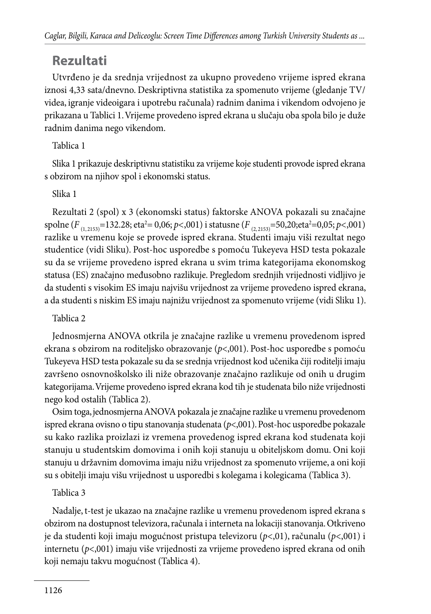## **Rezultati**

Utvrđeno je da srednja vrijednost za ukupno provedeno vrijeme ispred ekrana iznosi 4,33 sata/dnevno. Deskriptivna statistika za spomenuto vrijeme (gledanje TV/ videa, igranje videoigara i upotrebu računala) radnim danima i vikendom odvojeno je prikazana u Tablici 1. Vrijeme provedeno ispred ekrana u slučaju oba spola bilo je duže radnim danima nego vikendom.

#### Tablica 1

Slika 1 prikazuje deskriptivnu statistiku za vrijeme koje studenti provode ispred ekrana s obzirom na njihov spol i ekonomski status.

#### Slika 1

Rezultati 2 (spol) x 3 (ekonomski status) faktorske ANOVA pokazali su značajne spolne (*F* (1, 2153)=132.28; eta2 = 0,06; *p<*,001) i statusne (*F* (2, 2153)=50,20;eta2 =0,05; *p<*,001) razlike u vremenu koje se provede ispred ekrana. Studenti imaju viši rezultat nego studentice (vidi Sliku). Post-hoc usporedbe s pomoću Tukeyeva HSD testa pokazale su da se vrijeme provedeno ispred ekrana u svim trima kategorijama ekonomskog statusa (ES) značajno međusobno razlikuje. Pregledom srednjih vrijednosti vidljivo je da studenti s visokim ES imaju najvišu vrijednost za vrijeme provedeno ispred ekrana, a da studenti s niskim ES imaju najnižu vrijednost za spomenuto vrijeme (vidi Sliku 1).

#### Tablica 2

Jednosmjerna ANOVA otkrila je značajne razlike u vremenu provedenom ispred ekrana s obzirom na roditeljsko obrazovanje (*p*<,001). Post-hoc usporedbe s pomoću Tukeyeva HSD testa pokazale su da se srednja vrijednost kod učenika čiji roditelji imaju završeno osnovnoškolsko ili niže obrazovanje značajno razlikuje od onih u drugim kategorijama. Vrijeme provedeno ispred ekrana kod tih je studenata bilo niže vrijednosti nego kod ostalih (Tablica 2).

Osim toga, jednosmjerna ANOVA pokazala je značajne razlike u vremenu provedenom ispred ekrana ovisno o tipu stanovanja studenata (*p*<,001). Post-hoc usporedbe pokazale su kako razlika proizlazi iz vremena provedenog ispred ekrana kod studenata koji stanuju u studentskim domovima i onih koji stanuju u obiteljskom domu. Oni koji stanuju u državnim domovima imaju nižu vrijednost za spomenuto vrijeme, a oni koji su s obitelji imaju višu vrijednost u usporedbi s kolegama i kolegicama (Tablica 3).

#### Tablica 3

Nadalje, t-test je ukazao na značajne razlike u vremenu provedenom ispred ekrana s obzirom na dostupnost televizora, računala i interneta na lokaciji stanovanja. Otkriveno je da studenti koji imaju mogućnost pristupa televizoru (*p*<,01), računalu (*p*<,001) i internetu (*p*<,001) imaju više vrijednosti za vrijeme provedeno ispred ekrana od onih koji nemaju takvu mogućnost (Tablica 4).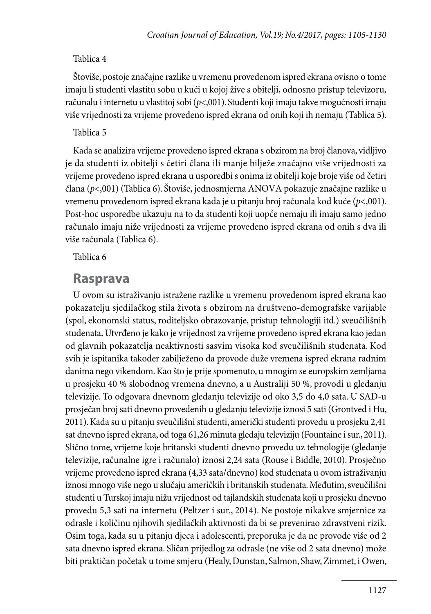#### Tablica 4

Štoviše, postoje značajne razlike u vremenu provedenom ispred ekrana ovisno o tome imaju li studenti vlastitu sobu u kući u kojoj žive s obitelji, odnosno pristup televizoru, računalu i internetu u vlastitoj sobi (*p*<,001). Studenti koji imaju takve mogućnosti imaju više vrijednosti za vrijeme provedeno ispred ekrana od onih koji ih nemaju (Tablica 5).

#### Tablica 5

Kada se analizira vrijeme provedeno ispred ekrana s obzirom na broj članova, vidljivo je da studenti iz obitelji s četiri člana ili manje bilježe značajno više vrijednosti za vrijeme provedeno ispred ekrana u usporedbi s onima iz obitelji koje broje više od četiri člana (*p*<,001) (Tablica 6). Štoviše, jednosmjerna ANOVA pokazuje značajne razlike u vremenu provedenom ispred ekrana kada je u pitanju broj računala kod kuće (*p*<,001). Post-hoc usporedbe ukazuju na to da studenti koji uopće nemaju ili imaju samo jedno računalo imaju niže vrijednosti za vrijeme provedeno ispred ekrana od onih s dva ili više računala (Tablica 6).

Tablica 6

#### **Rasprava**

U ovom su istraživanju istražene razlike u vremenu provedenom ispred ekrana kao pokazatelju sjedilačkog stila života s obzirom na društveno-demografske varijable (spol, ekonomski status, roditeljsko obrazovanje, pristup tehnologiji itd.) sveučilišnih studenata**.** Utvrđeno je kako je vrijednost za vrijeme provedeno ispred ekrana kao jedan od glavnih pokazatelja neaktivnosti sasvim visoka kod sveučilišnih studenata. Kod svih je ispitanika također zabilježeno da provode duže vremena ispred ekrana radnim danima nego vikendom. Kao što je prije spomenuto, u mnogim se europskim zemljama u prosjeku 40 % slobodnog vremena dnevno, a u Australiji 50 %, provodi u gledanju televizije. To odgovara dnevnom gledanju televizije od oko 3,5 do 4,0 sata. U SAD-u prosječan broj sati dnevno provedenih u gledanju televizije iznosi 5 sati (Grontved i Hu, 2011). Kada su u pitanju sveučilišni studenti, američki studenti provedu u prosjeku 2,41 sat dnevno ispred ekrana, od toga 61,26 minuta gledaju televiziju (Fountaine i sur., 2011). Slično tome, vrijeme koje britanski studenti dnevno provedu uz tehnologije (gledanje televizije, računalne igre i računalo) iznosi 2,24 sata (Rouse i Biddle, 2010). Prosječno vrijeme provedeno ispred ekrana (4,33 sata/dnevno) kod studenata u ovom istraživanju iznosi mnogo više nego u slučaju američkih i britanskih studenata. Međutim, sveučilišni studenti u Turskoj imaju nižu vrijednost od tajlandskih studenata koji u prosjeku dnevno provedu 5,3 sati na internetu (Peltzer i sur., 2014). Ne postoje nikakve smjernice za odrasle i količinu njihovih sjedilačkih aktivnosti da bi se prevenirao zdravstveni rizik. Osim toga, kada su u pitanju djeca i adolescenti, preporuka je da ne provode više od 2 sata dnevno ispred ekrana. Sličan prijedlog za odrasle (ne više od 2 sata dnevno) može biti praktičan početak u tome smjeru (Healy, Dunstan, Salmon, Shaw, Zimmet, i Owen,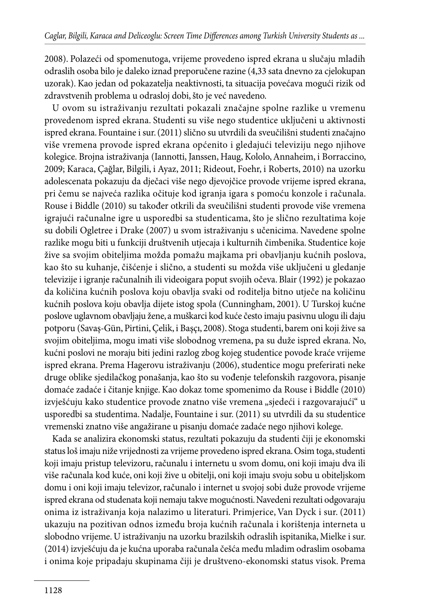2008). Polazeći od spomenutoga, vrijeme provedeno ispred ekrana u slučaju mladih odraslih osoba bilo je daleko iznad preporučene razine (4,33 sata dnevno za cjelokupan uzorak). Kao jedan od pokazatelja neaktivnosti, ta situacija povećava mogući rizik od zdravstvenih problema u odrasloj dobi, što je već navedeno.

U ovom su istraživanju rezultati pokazali značajne spolne razlike u vremenu provedenom ispred ekrana. Studenti su više nego studentice uključeni u aktivnosti ispred ekrana. Fountaine i sur. (2011) slično su utvrdili da sveučilišni studenti značajno više vremena provode ispred ekrana općenito i gledajući televiziju nego njihove kolegice. Brojna istraživanja (Iannotti, Janssen, Haug, Kololo, Annaheim, i Borraccino, 2009; Karaca, Çağlar, Bilgili, i Ayaz, 2011; Rideout, Foehr, i Roberts, 2010) na uzorku adolescenata pokazuju da dječaci više nego djevojčice provode vrijeme ispred ekrana, pri čemu se najveća razlika očituje kod igranja igara s pomoću konzole i računala. Rouse i Biddle (2010) su također otkrili da sveučilišni studenti provode više vremena igrajući računalne igre u usporedbi sa studenticama, što je slično rezultatima koje su dobili Ogletree i Drake (2007) u svom istraživanju s učenicima. Navedene spolne razlike mogu biti u funkciji društvenih utjecaja i kulturnih čimbenika. Studentice koje žive sa svojim obiteljima možda pomažu majkama pri obavljanju kućnih poslova, kao što su kuhanje, čišćenje i slično, a studenti su možda više uključeni u gledanje televizije i igranje računalnih ili videoigara poput svojih očeva. Blair (1992) je pokazao da količina kućnih poslova koju obavlja svaki od roditelja bitno utječe na količinu kućnih poslova koju obavlja dijete istog spola (Cunningham, 2001). U Turskoj kućne poslove uglavnom obavljaju žene, a muškarci kod kuće često imaju pasivnu ulogu ili daju potporu (Savaş-Gün, Pirtini, Çelik, i Başçı, 2008). Stoga studenti, barem oni koji žive sa svojim obiteljima, mogu imati više slobodnog vremena, pa su duže ispred ekrana. No, kućni poslovi ne moraju biti jedini razlog zbog kojeg studentice povode kraće vrijeme ispred ekrana. Prema Hagerovu istraživanju (2006), studentice mogu preferirati neke druge oblike sjedilačkog ponašanja, kao što su vođenje telefonskih razgovora, pisanje domaće zadaće i čitanje knjige. Kao dokaz tome spomenimo da Rouse i Biddle (2010) izvješćuju kako studentice provode znatno više vremena "sjedeći i razgovarajući" u usporedbi sa studentima. Nadalje, Fountaine i sur. (2011) su utvrdili da su studentice vremenski znatno više angažirane u pisanju domaće zadaće nego njihovi kolege.

Kada se analizira ekonomski status, rezultati pokazuju da studenti čiji je ekonomski status loš imaju niže vrijednosti za vrijeme provedeno ispred ekrana. Osim toga, studenti koji imaju pristup televizoru, računalu i internetu u svom domu, oni koji imaju dva ili više računala kod kuće, oni koji žive u obitelji, oni koji imaju svoju sobu u obiteljskom domu i oni koji imaju televizor, računalo i internet u svojoj sobi duže provode vrijeme ispred ekrana od studenata koji nemaju takve mogućnosti. Navedeni rezultati odgovaraju onima iz istraživanja koja nalazimo u literaturi. Primjerice, Van Dyck i sur. (2011) ukazuju na pozitivan odnos između broja kućnih računala i korištenja interneta u slobodno vrijeme. U istraživanju na uzorku brazilskih odraslih ispitanika, Mielke i sur. (2014) izvješćuju da je kućna uporaba računala češća među mladim odraslim osobama i onima koje pripadaju skupinama čiji je društveno-ekonomski status visok. Prema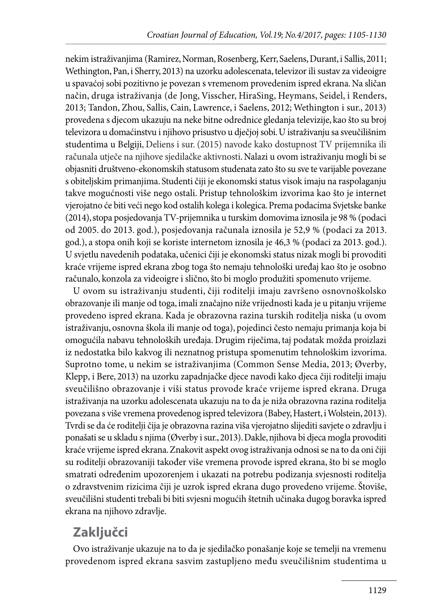nekim istraživanjima (Ramirez, Norman, Rosenberg, Kerr, Saelens, Durant, i Sallis, 2011; Wethington, Pan, i Sherry, 2013) na uzorku adolescenata, televizor ili sustav za videoigre u spavaćoj sobi pozitivno je povezan s vremenom provedenim ispred ekrana. Na sličan način, druga istraživanja (de Jong, Visscher, HiraSing, Heymans, Seidel, i Renders, 2013; Tandon, Zhou, Sallis, Cain, Lawrence, i Saelens, 2012; Wethington i sur., 2013) provedena s djecom ukazuju na neke bitne odrednice gledanja televizije, kao što su broj televizora u domaćinstvu i njihovo prisustvo u dječjoj sobi. U istraživanju sa sveučilišnim studentima u Belgiji, Deliens i sur. (2015) navode kako dostupnost TV prijemnika ili računala utječe na njihove sjedilačke aktivnosti. Nalazi u ovom istraživanju mogli bi se objasniti društveno-ekonomskih statusom studenata zato što su sve te varijable povezane s obiteljskim primanjima. Studenti čiji je ekonomski status visok imaju na raspolaganju takve mogućnosti više nego ostali. Pristup tehnološkim izvorima kao što je internet vjerojatno će biti veći nego kod ostalih kolega i kolegica. Prema podacima Svjetske banke (2014), stopa posjedovanja TV-prijemnika u turskim domovima iznosila je 98 % (podaci od 2005. do 2013. god.), posjedovanja računala iznosila je 52,9 % (podaci za 2013. god.), a stopa onih koji se koriste internetom iznosila je 46,3 % (podaci za 2013. god.). U svjetlu navedenih podataka, učenici čiji je ekonomski status nizak mogli bi provoditi kraće vrijeme ispred ekrana zbog toga što nemaju tehnološki uređaj kao što je osobno računalo, konzola za videoigre i slično, što bi moglo produžiti spomenuto vrijeme.

U ovom su istraživanju studenti, čiji roditelji imaju završeno osnovnoškolsko obrazovanje ili manje od toga, imali značajno niže vrijednosti kada je u pitanju vrijeme provedeno ispred ekrana. Kada je obrazovna razina turskih roditelja niska (u ovom istraživanju, osnovna škola ili manje od toga), pojedinci često nemaju primanja koja bi omogućila nabavu tehnoloških uređaja. Drugim riječima, taj podatak možda proizlazi iz nedostatka bilo kakvog ili neznatnog pristupa spomenutim tehnološkim izvorima. Suprotno tome, u nekim se istraživanjima (Common Sense Media, 2013; Øverby, Klepp, i Bere, 2013) na uzorku zapadnjačke djece navodi kako djeca čiji roditelji imaju sveučilišno obrazovanje i viši status provode kraće vrijeme ispred ekrana. Druga istraživanja na uzorku adolescenata ukazuju na to da je niža obrazovna razina roditelja povezana s više vremena provedenog ispred televizora (Babey, Hastert, i Wolstein, 2013). Tvrdi se da će roditelji čija je obrazovna razina viša vjerojatno slijediti savjete o zdravlju i ponašati se u skladu s njima (Øverby i sur., 2013). Dakle, njihova bi djeca mogla provoditi kraće vrijeme ispred ekrana. Znakovit aspekt ovog istraživanja odnosi se na to da oni čiji su roditelji obrazovaniji također više vremena provode ispred ekrana, što bi se moglo smatrati određenim upozorenjem i ukazati na potrebu podizanja svjesnosti roditelja o zdravstvenim rizicima čiji je uzrok ispred ekrana dugo provedeno vrijeme. Štoviše, sveučilišni studenti trebali bi biti svjesni mogućih štetnih učinaka dugog boravka ispred ekrana na njihovo zdravlje.

## **Zaključci**

Ovo istraživanje ukazuje na to da je sjedilačko ponašanje koje se temelji na vremenu provedenom ispred ekrana sasvim zastupljeno među sveučilišnim studentima u